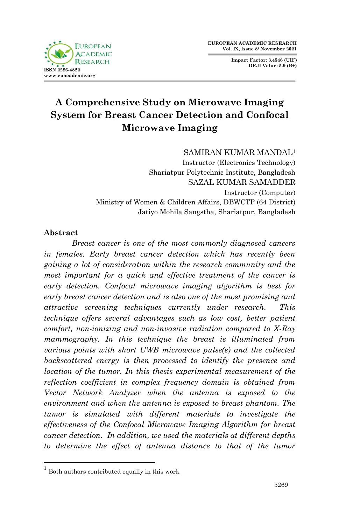

**Impact Factor: 3.4546 (UIF) DRJI Value: 5.9 (B+)**

# **A Comprehensive Study on Microwave Imaging System for Breast Cancer Detection and Confocal Microwave Imaging**

SAMIRAN KUMAR MANDAL<sup>1</sup>

Instructor (Electronics Technology) Shariatpur Polytechnic Institute, Bangladesh SAZAL KUMAR SAMADDER Instructor (Computer) Ministry of Women & Children Affairs, DBWCTP (64 District) Jatiyo Mohila Sangstha, Shariatpur, Bangladesh

### **Abstract**

1

*Breast cancer is one of the most commonly diagnosed cancers in females. Early breast cancer detection which has recently been gaining a lot of consideration within the research community and the most important for a quick and effective treatment of the cancer is early detection. Confocal microwave imaging algorithm is best for early breast cancer detection and is also one of the most promising and attractive screening techniques currently under research. This technique offers several advantages such as low cost, better patient comfort, non-ionizing and non-invasive radiation compared to X-Ray mammography. In this technique the breast is illuminated from various points with short UWB microwave pulse(s) and the collected backscattered energy is then processed to identify the presence and location of the tumor. In this thesis experimental measurement of the reflection coefficient in complex frequency domain is obtained from Vector Network Analyzer when the antenna is exposed to the environment and when the antenna is exposed to breast phantom. The tumor is simulated with different materials to investigate the effectiveness of the Confocal Microwave Imaging Algorithm for breast cancer detection. In addition, we used the materials at different depths to determine the effect of antenna distance to that of the tumor* 

<sup>&</sup>lt;sup>1</sup> Both authors contributed equally in this work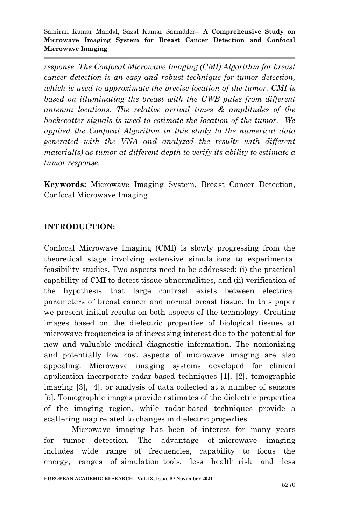*response. The Confocal Microwave Imaging (CMI) Algorithm for breast cancer detection is an easy and robust technique for tumor detection, which is used to approximate the precise location of the tumor. CMI is based on illuminating the breast with the UWB pulse from different antenna locations. The relative arrival times & amplitudes of the backscatter signals is used to estimate the location of the tumor. We applied the Confocal Algorithm in this study to the numerical data generated with the VNA and analyzed the results with different material(s) as tumor at different depth to verify its ability to estimate a tumor response.*

**Keywords:** Microwave Imaging System, Breast Cancer Detection, Confocal Microwave Imaging

### **INTRODUCTION:**

Confocal Microwave Imaging (CMI) is slowly progressing from the theoretical stage involving extensive simulations to experimental feasibility studies. Two aspects need to be addressed: (i) the practical capability of CMI to detect tissue abnormalities, and (ii) verification of the hypothesis that large contrast exists between electrical parameters of breast cancer and normal breast tissue. In this paper we present initial results on both aspects of the technology. Creating images based on the dielectric properties of biological tissues at microwave frequencies is of increasing interest due to the potential for new and valuable medical diagnostic information. The nonionizing and potentially low cost aspects of microwave imaging are also appealing. Microwave imaging systems developed for clinical application incorporate radar-based techniques [1], [2], tomographic imaging [3], [4], or analysis of data collected at a number of sensors [5]. Tomographic images provide estimates of the dielectric properties of the imaging region, while radar-based techniques provide a scattering map related to changes in dielectric properties.

Microwave imaging has been of interest for many years for tumor detection. The advantage of microwave imaging includes wide range of frequencies, capability to focus the energy, ranges of simulation tools, less health risk and less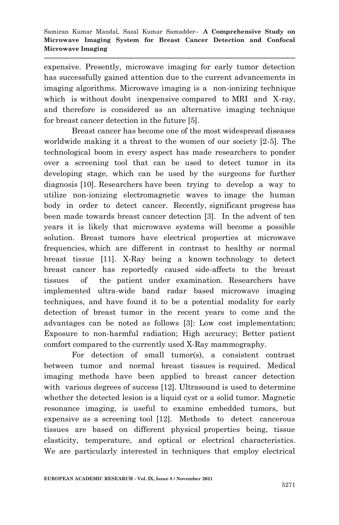expensive. Presently, microwave imaging for early tumor detection has successfully gained attention due to the current advancements in imaging algorithms. Microwave imaging is a non-ionizing technique which is without doubt inexpensive compared to MRI and X-ray, and therefore is considered as an alternative imaging technique for breast cancer detection in the future [5].

Breast cancer has become one of the most widespread diseases worldwide making it a threat to the women of our society [2-5]. The technological boom in every aspect has made researchers to ponder over a screening tool that can be used to detect tumor in its developing stage, which can be used by the surgeons for further diagnosis [10]. Researchers have been trying to develop a way to utilize non-ionizing electromagnetic waves to image the human body in order to detect cancer. Recently, significant progress has been made towards breast cancer detection [3]. In the advent of ten years it is likely that microwave systems will become a possible solution. Breast tumors have electrical properties at microwave frequencies, which are different in contrast to healthy or normal breast tissue [11]. X-Ray being a known technology to detect breast cancer has reportedly caused side-affects to the breast tissues of the patient under examination. Researchers have implemented ultra-wide band radar based microwave imaging techniques, and have found it to be a potential modality for early detection of breast tumor in the recent years to come and the advantages can be noted as follows [3]: Low cost implementation; Exposure to non-harmful radiation; High accuracy; Better patient comfort compared to the currently used X-Ray mammography.

For detection of small tumor(s), a consistent contrast between tumor and normal breast tissues is required. Medical imaging methods have been applied to breast cancer detection with various degrees of success [12]. Ultrasound is used to determine whether the detected lesion is a liquid cyst or a solid tumor. Magnetic resonance imaging, is useful to examine embedded tumors, but expensive as a screening tool [12]. Methods to detect cancerous tissues are based on different physical properties being, tissue elasticity, temperature, and optical or electrical characteristics. We are particularly interested in techniques that employ electrical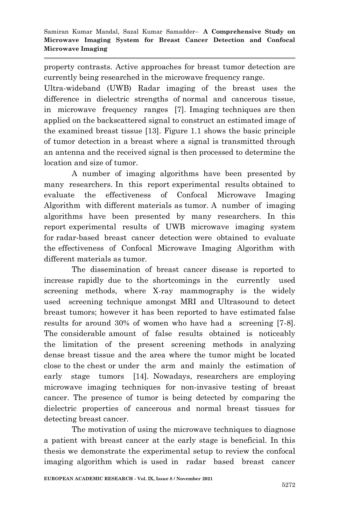property contrasts. Active approaches for breast tumor detection are currently being researched in the microwave frequency range.

Ultra-wideband (UWB) Radar imaging of the breast uses the difference in dielectric strengths of normal and cancerous tissue, in microwave frequency ranges [7]. Imaging techniques are then applied on the backscattered signal to construct an estimated image of the examined breast tissue [13]. Figure 1.1 shows the basic principle of tumor detection in a breast where a signal is transmitted through an antenna and the received signal is then processed to determine the location and size of tumor.

A number of imaging algorithms have been presented by many researchers. In this report experimental results obtained to evaluate the effectiveness of Confocal Microwave Imaging Algorithm with different materials as tumor. A number of imaging algorithms have been presented by many researchers. In this report experimental results of UWB microwave imaging system for radar-based breast cancer detection were obtained to evaluate the effectiveness of Confocal Microwave Imaging Algorithm with different materials as tumor.

The dissemination of breast cancer disease is reported to increase rapidly due to the shortcomings in the currently used screening methods, where X-ray mammography is the widely used screening technique amongst MRI and Ultrasound to detect breast tumors; however it has been reported to have estimated false results for around 30% of women who have had a screening [7-8]. The considerable amount of false results obtained is noticeably the limitation of the present screening methods in analyzing dense breast tissue and the area where the tumor might be located close to the chest or under the arm and mainly the estimation of early stage tumors [14]. Nowadays, researchers are employing microwave imaging techniques for non-invasive testing of breast cancer. The presence of tumor is being detected by comparing the dielectric properties of cancerous and normal breast tissues for detecting breast cancer.

The motivation of using the microwave techniques to diagnose a patient with breast cancer at the early stage is beneficial. In this thesis we demonstrate the experimental setup to review the confocal imaging algorithm which is used in radar based breast cancer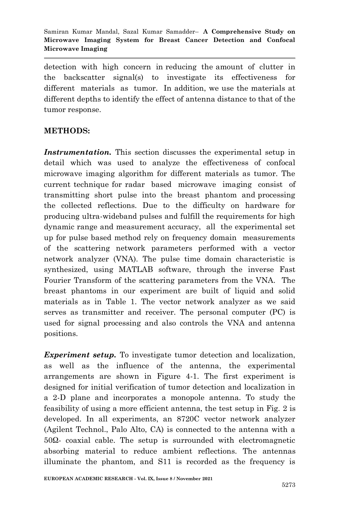detection with high concern in reducing the amount of clutter in the backscatter signal(s) to investigate its effectiveness for different materials as tumor. In addition, we use the materials at different depths to identify the effect of antenna distance to that of the tumor response.

### **METHODS:**

*Instrumentation.* This section discusses the experimental setup in detail which was used to analyze the effectiveness of confocal microwave imaging algorithm for different materials as tumor. The current technique for radar based microwave imaging consist of transmitting short pulse into the breast phantom and processing the collected reflections. Due to the difficulty on hardware for producing ultra-wideband pulses and fulfill the requirements for high dynamic range and measurement accuracy, all the experimental set up for pulse based method rely on frequency domain measurements of the scattering network parameters performed with a vector network analyzer (VNA). The pulse time domain characteristic is synthesized, using MATLAB software, through the inverse Fast Fourier Transform of the scattering parameters from the VNA. The breast phantoms in our experiment are built of liquid and solid materials as in Table 1. The vector network analyzer as we said serves as transmitter and receiver. The personal computer (PC) is used for signal processing and also controls the VNA and antenna positions.

*Experiment setup.* To investigate tumor detection and localization, as well as the influence of the antenna, the experimental arrangements are shown in Figure 4-1. The first experiment is designed for initial verification of tumor detection and localization in a 2-D plane and incorporates a monopole antenna. To study the feasibility of using a more efficient antenna, the test setup in Fig. 2 is developed. In all experiments, an 8720C vector network analyzer (Agilent Technol., Palo Alto, CA) is connected to the antenna with a 50Ω- coaxial cable. The setup is surrounded with electromagnetic absorbing material to reduce ambient reflections. The antennas illuminate the phantom, and S11 is recorded as the frequency is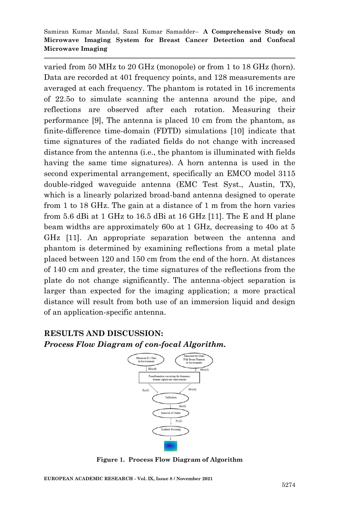varied from 50 MHz to 20 GHz (monopole) or from 1 to 18 GHz (horn). Data are recorded at 401 frequency points, and 128 measurements are averaged at each frequency. The phantom is rotated in 16 increments of 22.5o to simulate scanning the antenna around the pipe, and reflections are observed after each rotation. Measuring their performance [9], The antenna is placed 10 cm from the phantom, as finite-difference time-domain (FDTD) simulations [10] indicate that time signatures of the radiated fields do not change with increased distance from the antenna (i.e., the phantom is illuminated with fields having the same time signatures). A horn antenna is used in the second experimental arrangement, specifically an EMCO model 3115 double-ridged waveguide antenna (EMC Test Syst., Austin, TX), which is a linearly polarized broad-band antenna designed to operate from 1 to 18 GHz. The gain at a distance of 1 m from the horn varies from 5.6 dBi at 1 GHz to 16.5 dBi at 16 GHz [11]. The E and H plane beam widths are approximately 60o at 1 GHz, decreasing to 40o at 5 GHz [11]. An appropriate separation between the antenna and phantom is determined by examining reflections from a metal plate placed between 120 and 150 cm from the end of the horn. At distances of 140 cm and greater, the time signatures of the reflections from the plate do not change significantly. The antenna-object separation is larger than expected for the imaging application; a more practical distance will result from both use of an immersion liquid and design of an application-specific antenna.

# **RESULTS AND DISCUSSION:**

*Process Flow Diagram of con-focal Algorithm.*



**Figure 1. Process Flow Diagram of Algorithm**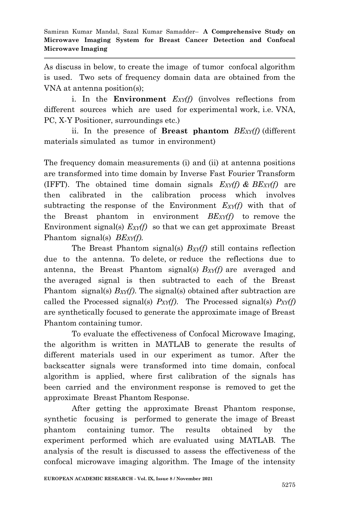As discuss in below, to create the image of tumor confocal algorithm is used. Two sets of frequency domain data are obtained from the VNA at antenna position(s);

i. In the **Environment** *EXY(f)* (involves reflections from different sources which are used for experimental work, i.e. VNA, PC, X-Y Positioner, surroundings etc.)

ii. In the presence of **Breast phantom** *BEXY(f)* (different materials simulated as tumor in environment)

The frequency domain measurements (i) and (ii) at antenna positions are transformed into time domain by Inverse Fast Fourier Transform (IFFT). The obtained time domain signals *EXY(f) & BEXY(f)* are then calibrated in the calibration process which involves subtracting the response of the Environment *EXY(f)* with that of the Breast phantom in environment *BEXY(f)* to remove the Environment signal(s) *EXY(f)* so that we can get approximate Breast Phantom signal(s) *BEXY(f).*

The Breast Phantom signal(s) *BXY(f)* still contains reflection due to the antenna. To delete, or reduce the reflections due to antenna, the Breast Phantom signal(s) *BXY(f)* are averaged and the averaged signal is then subtracted to each of the Breast Phantom signal(s) *BXY(f)*. The signal(s) obtained after subtraction are called the Processed signal(s) *PXY(f)*. The Processed signal(s) *PXY(f)* are synthetically focused to generate the approximate image of Breast Phantom containing tumor.

To evaluate the effectiveness of Confocal Microwave Imaging, the algorithm is written in MATLAB to generate the results of different materials used in our experiment as tumor. After the backscatter signals were transformed into time domain, confocal algorithm is applied, where first calibration of the signals has been carried and the environment response is removed to get the approximate Breast Phantom Response.

After getting the approximate Breast Phantom response, synthetic focusing is performed to generate the image of Breast phantom containing tumor. The results obtained by the experiment performed which are evaluated using MATLAB. The analysis of the result is discussed to assess the effectiveness of the confocal microwave imaging algorithm. The Image of the intensity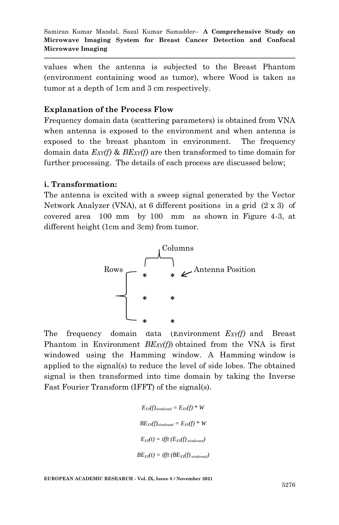values when the antenna is subjected to the Breast Phantom (environment containing wood as tumor), where Wood is taken as tumor at a depth of 1cm and 3 cm respectively.

### **Explanation of the Process Flow**

Frequency domain data (scattering parameters) is obtained from VNA when antenna is exposed to the environment and when antenna is exposed to the breast phantom in environment. The frequency domain data *EXY(f)* & *BEXY(f)* are then transformed to time domain for further processing. The details of each process are discussed below;

### **i. Transformation:**

The antenna is excited with a sweep signal generated by the Vector Network Analyzer (VNA), at 6 different positions in a grid (2 x 3) of covered area 100 mm by 100 mm as shown in Figure 4-3, at different height (1cm and 3cm) from tumor.



The frequency domain data (Environment *EXY(f)* and Breast Phantom in Environment *BEXY(f)*) obtained from the VNA is first windowed using the Hamming window. A Hamming window is applied to the signal(s) to reduce the level of side lobes. The obtained signal is then transformed into time domain by taking the Inverse Fast Fourier Transform (IFFT) of the signal(s).

```
E_{XY}(f)_{windowed} = E_{XY}(f) * WBE_{XY}(f)_{windowed} = E_{XY}(f) * WE_{XY}(t) = \text{ifft}(E_{XY}(f)_{windowed})BE_{XY}(t) = \text{ifft } (BE_{XY}(f)_{windowed})
```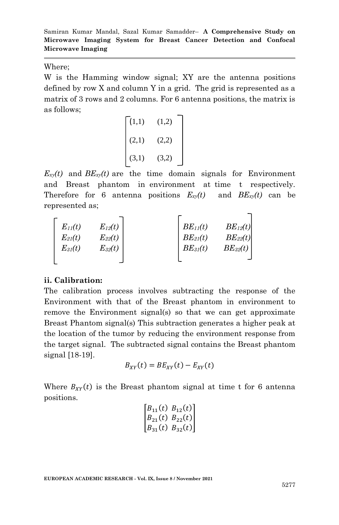### Where;

W is the Hamming window signal; XY are the antenna positions defined by row X and column Y in a grid. The grid is represented as a matrix of 3 rows and 2 columns. For 6 antenna positions, the matrix is as follows;

$$
(1,1) \qquad (1,2)
$$
  

$$
(2,1) \qquad (2,2)
$$
  

$$
(3,1) \qquad (3,2)
$$

 $E_{xy}(t)$  and  $BE_{xy}(t)$  are the time domain signals for Environment and Breast phantom in environment at time t respectively. Therefore for 6 antenna positions  $E_{xy}(t)$  and  $BE_{xy}(t)$  can be represented as;

| $E_{11}(t)$ | $E_{12}(t)$ | $BE_{11}(t)$ | $BE_{12}(t)$ |
|-------------|-------------|--------------|--------------|
| $E_{2l}(t)$ | $E_{22}(t)$ | $BE_{21}(t)$ | $BE_{22}(t)$ |
| $E_{31}(t)$ | $E_{32}(t)$ | $BE_{31}(t)$ | $BE_{32}(t)$ |
|             |             |              |              |

### **ii. Calibration:**

The calibration process involves subtracting the response of the Environment with that of the Breast phantom in environment to remove the Environment signal(s) so that we can get approximate Breast Phantom signal(s) This subtraction generates a higher peak at the location of the tumor by reducing the environment response from the target signal. The subtracted signal contains the Breast phantom signal [18-19].

$$
B_{XY}(t) = BE_{XY}(t) - E_{XY}(t)
$$

Where  $B_{XY}(t)$  is the Breast phantom signal at time t for 6 antenna positions.

$$
\begin{bmatrix} B_{11}(t) & B_{12}(t) \\ B_{21}(t) & B_{22}(t) \\ B_{31}(t) & B_{32}(t) \end{bmatrix}
$$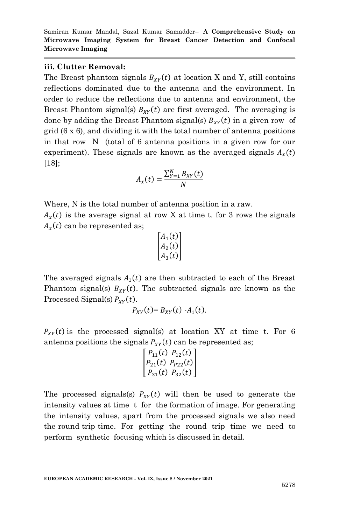#### **iii. Clutter Removal:**

The Breast phantom signals  $B_{XY}(t)$  at location X and Y, still contains reflections dominated due to the antenna and the environment. In order to reduce the reflections due to antenna and environment, the Breast Phantom signal(s)  $B_{XY}(t)$  are first averaged. The averaging is done by adding the Breast Phantom signal(s)  $B_{XY}(t)$  in a given row of grid (6 x 6), and dividing it with the total number of antenna positions in that row N (total of 6 antenna positions in a given row for our experiment). These signals are known as the averaged signals  $A_r(t)$ [18];

$$
A_x(t) = \frac{\sum_{Y=1}^{N} B_{XY}(t)}{N}
$$

Where, N is the total number of antenna position in a raw.

 $A_x(t)$  is the average signal at row X at time t. for 3 rows the signals  $A_x(t)$  can be represented as;

$$
\begin{bmatrix} A_1(t) \\ A_2(t) \\ A_3(t) \end{bmatrix}
$$

The averaged signals  $A_1(t)$  are then subtracted to each of the Breast Phantom signal(s)  $B_{XY}(t)$ . The subtracted signals are known as the Processed Signal(s)  $P_{XY}(t)$ .

$$
P_{XY}(t) = B_{XY}(t) - A_1(t).
$$

 $P_{XY}(t)$  is the processed signal(s) at location XY at time t. For 6 antenna positions the signals  $P_{XY}(t)$  can be represented as;

$$
\begin{bmatrix} P_{11}(t) & P_{12}(t) \\ P_{21}(t) & P_{P22}(t) \\ P_{31}(t) & P_{32}(t) \end{bmatrix}
$$

The processed signals(s)  $P_{XY}(t)$  will then be used to generate the intensity values at time t for the formation of image. For generating the intensity values, apart from the processed signals we also need the round trip time. For getting the round trip time we need to perform synthetic focusing which is discussed in detail.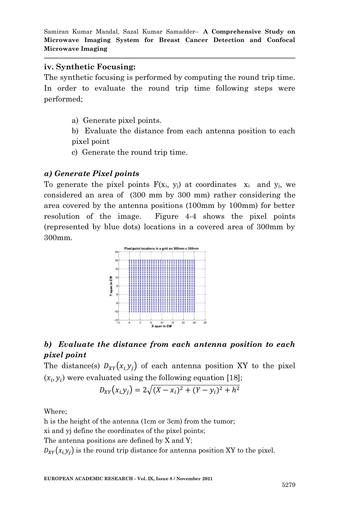### **iv. Synthetic Focusing:**

The synthetic focusing is performed by computing the round trip time. In order to evaluate the round trip time following steps were performed;

a) Generate pixel points.

b) Evaluate the distance from each antenna position to each pixel point

c) Generate the round trip time.

### *a) Generate Pixel points*

To generate the pixel points  $F(x_i, y_i)$  at coordinates  $x_i$  and  $y_i$ , we considered an area of (300 mm by 300 mm) rather considering the area covered by the antenna positions (100mm by 100mm) for better resolution of the image. Figure 4-4 shows the pixel points (represented by blue dots) locations in a covered area of 300mm by 300mm.



## *b) Evaluate the distance from each antenna position to each pixel point*

The distance(s)  $D_{XY}(x_i, y_j)$  of each antenna position XY to the pixel  $(x_i, y_i)$  were evaluated using the following equation [18];

$$
D_{XY}(x_i, y_j) = 2\sqrt{(X - x_i)^2 + (Y - y_i)^2 + h^2}
$$

Where;

h is the height of the antenna (1cm or 3cm) from the tumor; xi and yj define the coordinates of the pixel points; The antenna positions are defined by X and Y;  $D_{XY}(x_i, y_i)$  is the round trip distance for antenna position XY to the pixel.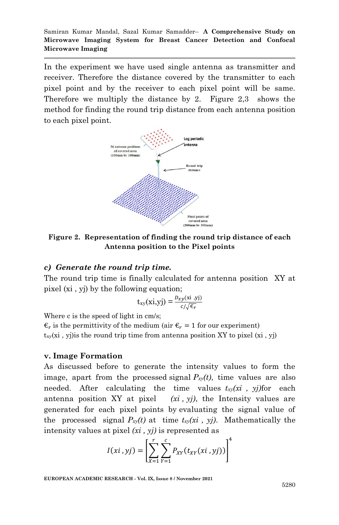In the experiment we have used single antenna as transmitter and receiver. Therefore the distance covered by the transmitter to each pixel point and by the receiver to each pixel point will be same. Therefore we multiply the distance by 2. Figure 2,3 shows the method for finding the round trip distance from each antenna position to each pixel point.



**Figure 2. Representation of finding the round trip distance of each Antenna position to the Pixel points**

#### *c) Generate the round trip time.*

The round trip time is finally calculated for antenna position XY at pixel (xi , yj) by the following equation;

$$
t_{xy}(xi,yj) = \frac{D_{xy}(xi, yj)}{c/\sqrt{\epsilon_r}}
$$

Where c is the speed of light in cm/s;

 $\epsilon_r$  is the permittivity of the medium (air  $\epsilon_r = 1$  for our experiment)  $t_{xy}(xi, y)$  is the round trip time from antenna position XY to pixel  $(xi, yj)$ 

#### **v. Image Formation**

As discussed before to generate the intensity values to form the image, apart from the processed signal  $P_{xy}(t)$ , time values are also needed. After calculating the time values *txy(xi , yj)*for each antenna position XY at pixel *(xi , yj)*, the Intensity values are generated for each pixel points by evaluating the signal value of the processed signal  $P_{xy}(t)$  at time  $t_{xy}(xi, y)$ . Mathematically the intensity values at pixel *(xi , yj)* is represented as

$$
I(xi, yj) = \left[\sum_{X=1}^{r} \sum_{Y=1}^{c} P_{XY}(t_{XY}(xi, yj))\right]^{4}
$$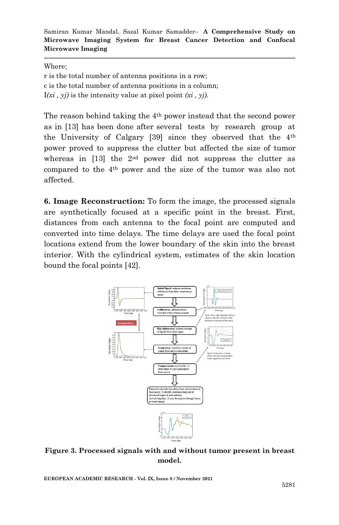Where;

r is the total number of antenna positions in a row; c is the total number of antenna positions in a column; I*(xi , yj)* is the intensity value at pixel point *(xi , yj).*

The reason behind taking the  $4<sup>th</sup>$  power instead that the second power as in [13] has been done after several tests by research group at the University of Calgary [39] since they observed that the 4th power proved to suppress the clutter but affected the size of tumor whereas in  $[13]$  the  $2<sup>nd</sup>$  power did not suppress the clutter as compared to the 4th power and the size of the tumor was also not affected.

**6. Image Reconstruction:** To form the image, the processed signals are synthetically focused at a specific point in the breast. First, distances from each antenna to the focal point are computed and converted into time delays. The time delays are used the focal point locations extend from the lower boundary of the skin into the breast interior. With the cylindrical system, estimates of the skin location bound the focal points [42].



### **Figure 3. Processed signals with and without tumor present in breast model.**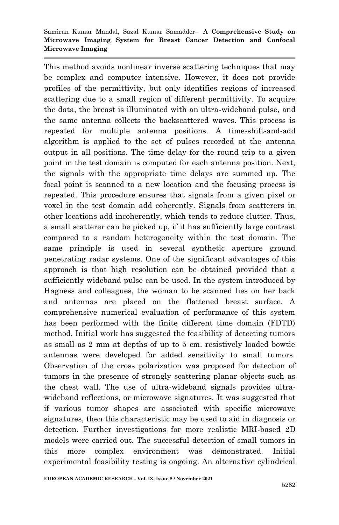This method avoids nonlinear inverse scattering techniques that may be complex and computer intensive. However, it does not provide profiles of the permittivity, but only identifies regions of increased scattering due to a small region of different permittivity. To acquire the data, the breast is illuminated with an ultra-wideband pulse, and the same antenna collects the backscattered waves. This process is repeated for multiple antenna positions. A time-shift-and-add algorithm is applied to the set of pulses recorded at the antenna output in all positions. The time delay for the round trip to a given point in the test domain is computed for each antenna position. Next, the signals with the appropriate time delays are summed up. The focal point is scanned to a new location and the focusing process is repeated. This procedure ensures that signals from a given pixel or voxel in the test domain add coherently. Signals from scatterers in other locations add incoherently, which tends to reduce clutter. Thus, a small scatterer can be picked up, if it has sufficiently large contrast compared to a random heterogeneity within the test domain. The same principle is used in several synthetic aperture ground penetrating radar systems. One of the significant advantages of this approach is that high resolution can be obtained provided that a sufficiently wideband pulse can be used. In the system introduced by Hagness and colleagues, the woman to be scanned lies on her back and antennas are placed on the flattened breast surface. A comprehensive numerical evaluation of performance of this system has been performed with the finite different time domain (FDTD) method. Initial work has suggested the feasibility of detecting tumors as small as 2 mm at depths of up to 5 cm. resistively loaded bowtie antennas were developed for added sensitivity to small tumors. Observation of the cross polarization was proposed for detection of tumors in the presence of strongly scattering planar objects such as the chest wall. The use of ultra-wideband signals provides ultrawideband reflections, or microwave signatures. It was suggested that if various tumor shapes are associated with specific microwave signatures, then this characteristic may be used to aid in diagnosis or detection. Further investigations for more realistic MRI-based 2D models were carried out. The successful detection of small tumors in this more complex environment was demonstrated. Initial experimental feasibility testing is ongoing. An alternative cylindrical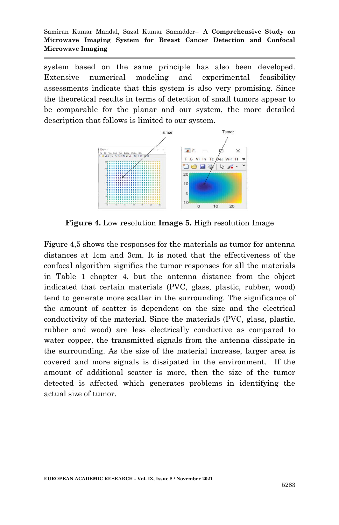system based on the same principle has also been developed. Extensive numerical modeling and experimental feasibility assessments indicate that this system is also very promising. Since the theoretical results in terms of detection of small tumors appear to be comparable for the planar and our system, the more detailed description that follows is limited to our system.



**Figure 4.** Low resolution **Image 5.** High resolution Image

Figure 4,5 shows the responses for the materials as tumor for antenna distances at 1cm and 3cm. It is noted that the effectiveness of the confocal algorithm signifies the tumor responses for all the materials in Table 1 chapter 4, but the antenna distance from the object indicated that certain materials (PVC, glass, plastic, rubber, wood) tend to generate more scatter in the surrounding. The significance of the amount of scatter is dependent on the size and the electrical conductivity of the material. Since the materials (PVC, glass, plastic, rubber and wood) are less electrically conductive as compared to water copper, the transmitted signals from the antenna dissipate in the surrounding. As the size of the material increase, larger area is covered and more signals is dissipated in the environment. If the amount of additional scatter is more, then the size of the tumor detected is affected which generates problems in identifying the actual size of tumor.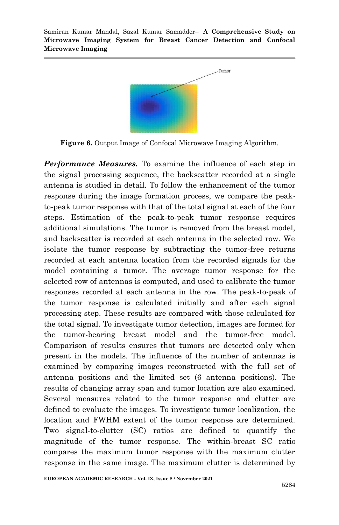

**Figure 6.** Output Image of Confocal Microwave Imaging Algorithm.

*Performance Measures.* To examine the influence of each step in the signal processing sequence, the backscatter recorded at a single antenna is studied in detail. To follow the enhancement of the tumor response during the image formation process, we compare the peakto-peak tumor response with that of the total signal at each of the four steps. Estimation of the peak-to-peak tumor response requires additional simulations. The tumor is removed from the breast model, and backscatter is recorded at each antenna in the selected row. We isolate the tumor response by subtracting the tumor-free returns recorded at each antenna location from the recorded signals for the model containing a tumor. The average tumor response for the selected row of antennas is computed, and used to calibrate the tumor responses recorded at each antenna in the row. The peak-to-peak of the tumor response is calculated initially and after each signal processing step. These results are compared with those calculated for the total signal. To investigate tumor detection, images are formed for the tumor-bearing breast model and the tumor-free model. Comparison of results ensures that tumors are detected only when present in the models. The influence of the number of antennas is examined by comparing images reconstructed with the full set of antenna positions and the limited set (6 antenna positions). The results of changing array span and tumor location are also examined. Several measures related to the tumor response and clutter are defined to evaluate the images. To investigate tumor localization, the location and FWHM extent of the tumor response are determined. Two signal-to-clutter (SC) ratios are defined to quantify the magnitude of the tumor response. The within-breast SC ratio compares the maximum tumor response with the maximum clutter response in the same image. The maximum clutter is determined by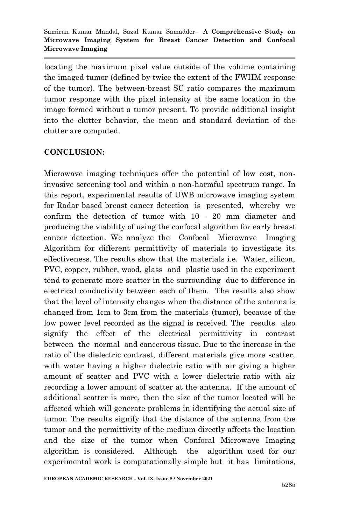locating the maximum pixel value outside of the volume containing the imaged tumor (defined by twice the extent of the FWHM response of the tumor). The between-breast SC ratio compares the maximum tumor response with the pixel intensity at the same location in the image formed without a tumor present. To provide additional insight into the clutter behavior, the mean and standard deviation of the clutter are computed.

# **CONCLUSION:**

Microwave imaging techniques offer the potential of low cost, noninvasive screening tool and within a non-harmful spectrum range. In this report, experimental results of UWB microwave imaging system for Radar based breast cancer detection is presented, whereby we confirm the detection of tumor with 10 - 20 mm diameter and producing the viability of using the confocal algorithm for early breast cancer detection. We analyze the Confocal Microwave Imaging Algorithm for different permittivity of materials to investigate its effectiveness. The results show that the materials i.e. Water, silicon, PVC, copper, rubber, wood, glass and plastic used in the experiment tend to generate more scatter in the surrounding due to difference in electrical conductivity between each of them. The results also show that the level of intensity changes when the distance of the antenna is changed from 1cm to 3cm from the materials (tumor), because of the low power level recorded as the signal is received. The results also signify the effect of the electrical permittivity in contrast between the normal and cancerous tissue. Due to the increase in the ratio of the dielectric contrast, different materials give more scatter, with water having a higher dielectric ratio with air giving a higher amount of scatter and PVC with a lower dielectric ratio with air recording a lower amount of scatter at the antenna. If the amount of additional scatter is more, then the size of the tumor located will be affected which will generate problems in identifying the actual size of tumor. The results signify that the distance of the antenna from the tumor and the permittivity of the medium directly affects the location and the size of the tumor when Confocal Microwave Imaging algorithm is considered. Although the algorithm used for our experimental work is computationally simple but it has limitations,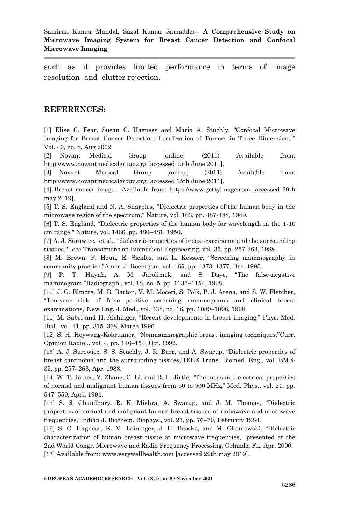such as it provides limited performance in terms of image resolution and clutter rejection.

### **REFERENCES:**

[1] Elise C. Fear, Susan C. Hagness and Maria A. Stuchly, "Confocal Microwave Imaging for Breast Cancer Detection: Localization of Tumors in Three Dimensions." Vol. 49, no. 8, Aug 2002

[2] Novant Medical Group [online] (2011) Available from: http://www.novantmedicalgroup.org [accessed 15th June 2011].

[3] Novant Medical Group [online] (2011) Available from: http://www.novantmedicalgroup.org [accessed 15th June 2011].

[4] Breast cancer image. Available from: https://www.gettyimage.com [accessed 20th may 2019].

[5] T. S. England and N. A. Sharples, "Dielectric properties of the human body in the microwave region of the spectrum," Nature, vol. 163, pp. 487-488, 1949.

[6] T. S. England, "Dielectric properties of the human body for wavelength in the 1-10 cm range," Nature, vol. 1466, pp. 480–481, 1950.

[7] A. J. Surowiec, et al., "dielectric-properties of breast-carcinoma and the surrounding tissues," Ieee Transactions on Biomedical Engineering, vol. 35, pp. 257-263, 1988

[8] M. Brown, F. Houn, E. Sickles, and L. Kessler, "Screening mammography in community practice,"Amer. J. Roentgen., vol. 165, pp. 1373–1377, Dec. 1995.

[9] P. T. Huynh, A. M. Jarolimek, and S. Daye, "The false-negative mammogram,"Radiograph., vol. 18, no. 5, pp. 1137–1154, 1998.

[10] J. G. Elmore, M. B. Barton, V. M. Moceri, S. Polk, P. J. Arena, and S. W. Fletcher, "Ten-year risk of false positive screening mammograms and clinical breast examinations,"New Eng. J. Med., vol. 338, no. 16, pp. 1089–1096, 1998.

[11] M. Sabel and H. Aichinger, "Recent developments in breast imaging," Phys. Med. Biol., vol. 41, pp. 315–368, March 1996.

[12] S. H. Heywang-Kobrunner, "Nonmammographic breast imaging techniques,"Curr. Opinion Radiol., vol. 4, pp. 146–154, Oct. 1992.

[13] A. J. Surowiec, S. S. Stuchly, J. R. Barr, and A. Swarup, "Dielectric properties of breast carcinoma and the surrounding tissues,"IEEE Trans. Biomed. Eng., vol. BME-35, pp. 257–263, Apr. 1988.

[14] W. T. Joines, Y. Zhang, C. Li, and R. L. Jirtle, "The measured electrical properties of normal and malignant human tissues from 50 to 900 MHz," Med. Phys., vol. 21, pp. 547–550, April 1994.

[15] S. S. Chaudhary, R. K. Mishra, A. Swarup, and J. M. Thomas, "Dielectric properties of normal and malignant human breast tissues at radiowave and microwave frequencies,"Indian J. Biochem. Biophys., vol. 21, pp. 76–79, February 1984.

[16] S. C. Hagness, K. M. Leininger, J. H. Booske, and M. Okoniewski, "Dielectric characterization of human breast tissue at microwave frequencies," presented at the 2nd World Congr. Microwave and Radio Frequency Processing, Orlando, FL, Apr. 2000. [17] Available from: www.verywellhealth.com [accessed 29th may 2019].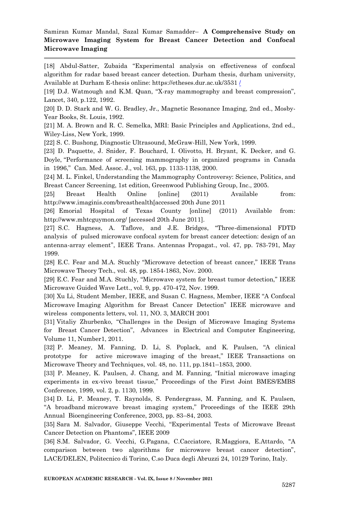[18] Abdul-Satter, Zubaida "Experimental analysis on effectiveness of confocal algorithm for radar based breast cancer detection. Durham thesis, durham university, Available at Durham E-thesis online: https://etheses.dur.ac.uk/3531 [/](https://etheses.dur.ac.uk/3531%20/)

[19] D.J. Watmough and K.M. Quan, "X-ray mammography and breast compression", Lancet, 340, p.122, 1992.

[20] D. D. Stark and W. G. Bradley, Jr., Magnetic Resonance Imaging, 2nd ed., Mosby-Year Books, St. Louis, 1992.

[21] M. A. Brown and R. C. Semelka, MRI: Basic Principles and Applications, 2nd ed., Wiley-Liss, New York, 1999.

[22] S. C. Bushong, Diagnostic Ultrasound, McGraw-Hill, New York, 1999.

[23] D. Paquette, J. Snider, F. Bouchard, I. Olivotto, H. Bryant, K. Decker, and G. Doyle, "Performance of screening mammography in organized programs in Canada in 1996," Can. Med. Assoc. J., vol. 163, pp. 1133-1138, 2000.

[24] M. L. Finkel, Understanding the Mammography Controversy: Science, Politics, and Breast Cancer Screening, 1st edition, Greenwood Publishing Group, Inc., 2005.

[25] Breast Health Online [online] (2011) Available from: http://www.imaginis.com/breasthealth[accessed 20th June 2011

[26] Emorial Hospital of Texas County [online] (2011) Available from: http://www.mhtcguymon.org/ [accessed 20th June 2011].

[27] S.C. Hagness, A. Taflove, and J.E. Bridges, "Three-dimensional FDTD analysis of pulsed microwave confocal system for breast cancer detection: design of an antenna-array element", IEEE Trans. Antennas Propagat., vol. 47, pp. 783-791, May 1999.

[28] E.C. Fear and M.A. Stuchly "Microwave detection of breast cancer," IEEE Trans Microwave Theory Tech., vol. 48, pp. 1854-1863, Nov. 2000.

[29] E.C. Fear and M.A. Stuchly, "Microwave system for breast tumor detection," IEEE Microwave Guided Wave Lett., vol. 9, pp. 470-472, Nov. 1999.

[30] Xu Li, Student Member, IEEE, and Susan C. Hagness, Member, IEEE "A Confocal Microwave Imaging Algorithm for Breast Cancer Detection" IEEE microwave and wireless components letters, vol. 11, NO. 3, MARCH 2001

[31] Vitaliy Zhurbenko, "Challenges in the Design of Microwave Imaging Systems for Breast Cancer Detection", Advances in Electrical and Computer Engineering, Volume 11, Number1, 2011.

[32] P. Meaney, M. Fanning, D. Li, S. Poplack, and K. Paulsen, "A clinical prototype for active microwave imaging of the breast," IEEE Transactions on Microwave Theory and Techniques, vol. 48, no. 111, pp.1841–1853, 2000.

[33] P. Meaney, K. Paulsen, J. Chang, and M. Fanning, "Initial microwave imaging experiments in ex-vivo breast tissue," Proceedings of the First Joint BMES/EMBS Conference, 1999, vol. 2, p. 1130, 1999.

[34] D. Li, P. Meaney, T. Raynolds, S. Pendergrass, M. Fanning, and K. Paulsen, "A broadband microwave breast imaging system," Proceedings of the IEEE 29th Annual Bioengineering Conference, 2003, pp. 83–84, 2003.

[35] Sara M. Salvador, Giuseppe Vecchi, "Experimental Tests of Microwave Breast Cancer Detection on Phantoms", IEEE 2009

[36] S.M. Salvador, G. Vecchi, G.Pagana, C.Cacciatore, R.Maggiora, E.Attardo, "A comparison between two algorithms for microwave breast cancer detection", LACE/DELEN, Politecnico di Torino, C.so Duca degli Abruzzi 24, 10129 Torino, Italy.